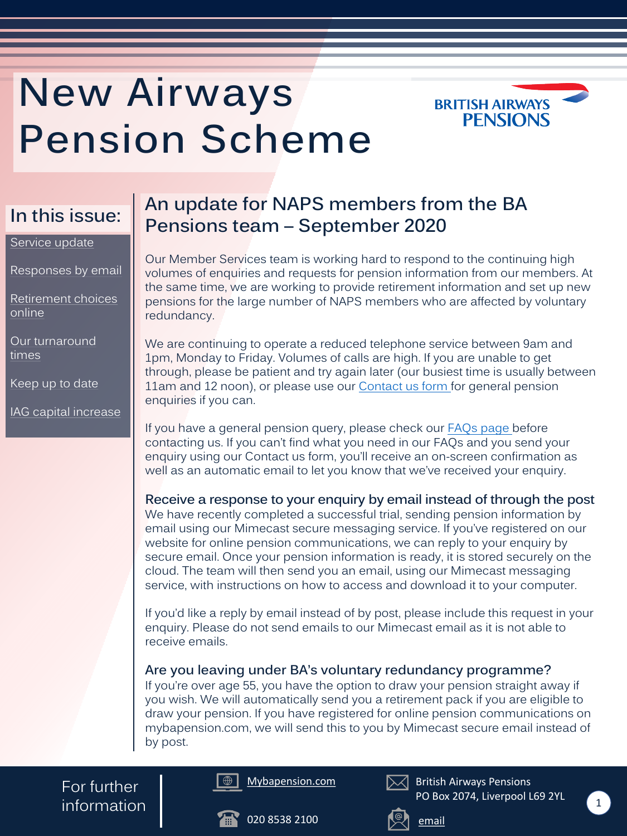### **An update for NAPS members from the BA Pensions team – September 2020**

Our Member Services team is working hard to respond to the continuing high volumes of enquiries and requests for pension information from our members. At the same time, we are working to provide retirement information and set up new pensions for the large number of NAPS members who are affected by voluntary redundancy.

We are continuing to operate a reduced telephone service between 9am and 1pm, Monday to Friday. Volumes of calls are high. If you are unable to get through, please be patient and try again later (our busiest time is usually between 11am and 12 noon), or please use our **Contact us form** for general pension enquiries if you can.

If you have a general pension query, please check our [FAQs page b](https://www.mybapension.com/naps/faqs/index)efore contacting us. If you can't find what you need in our FAQs and you send your enquiry using our Contact us form, you'll receive an on-screen confirmation as well as an automatic email to let you know that we've received your enquiry.

For further  $\sum_{n=1}^{\infty}$  information  $\sum_{n=1}^{\infty}$ 

**Receive a response to your enquiry by email instead of through the post** We have recently completed a successful trial, sending pension information by email using our Mimecast secure messaging service. If you've registered on our website for online pension communications, we can reply to your enquiry by secure email. Once your pension information is ready, it is stored securely on the cloud. The team will then send you an email, using our Mimecast messaging service, with instructions on how to access and download it to your computer.

If you'd like a reply by email instead of by post, please include this request in your enquiry. Please do not send emails to our Mimecast email as it is not able to receive emails.

#### **Are you leaving under BA's voluntary redundancy programme?**

If you're over age 55, you have the option to draw your pension straight away if you wish. We will automatically send you a retirement pack if you are eligible to draw your pension. If you have registered for online pension communications on mybapension.com, we will send this to you by Mimecast secure email instead of by post.

# <span id="page-0-0"></span>**New Airways Pension Scheme**









British Airways Pensions PO Box 2074, Liverpool L69 2YL







#### [Service update](#page-0-0)

[Responses by email](#page-0-0)

[Retirement choices](#page-1-0)  online

[Our turnaround](#page-2-0) times

[Keep up to date](#page-2-0)

[IAG capital increase](#page-3-0)

### **In this issue:**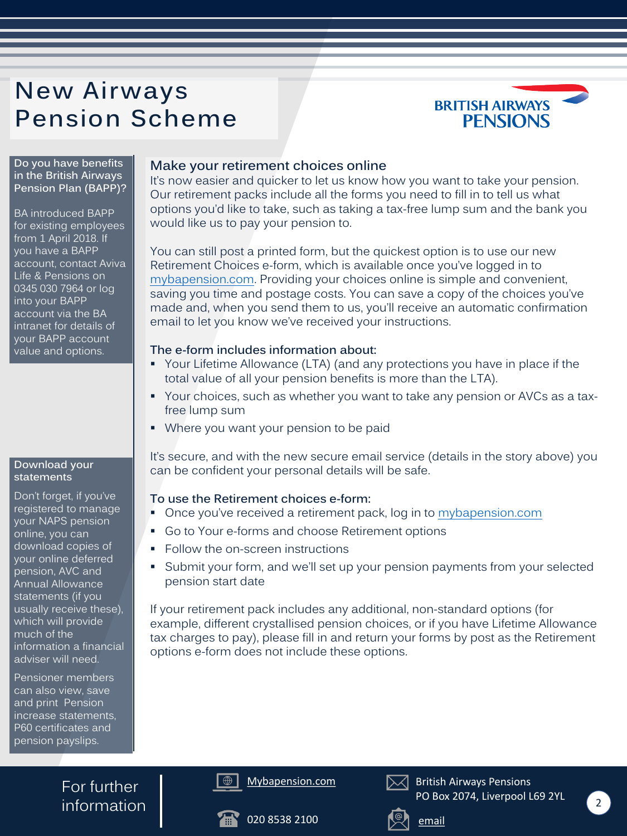#### **Make your retirement choices online**

It's now easier and quicker to let us know how you want to take your pension. Our retirement packs include all the forms you need to fill in to tell us what options you'd like to take, such as taking a tax-free lump sum and the bank you would like us to pay your pension to.

- Your Lifetime Allowance (LTA) (and any protections you have in place if the total value of all your pension benefits is more than the LTA).
- Your choices, such as whether you want to take any pension or AVCs as a taxfree lump sum
- **Where you want your pension to be paid**

You can still post a printed form, but the quickest option is to use our new Retirement Choices e-form, which is available once you've logged in to [mybapension.com](https://www.mybapension.com/users/sign_in). Providing your choices online is simple and convenient, saving you time and postage costs. You can save a copy of the choices you've made and, when you send them to us, you'll receive an automatic confirmation email to let you know we've received your instructions.

- Once you've received a retirement pack, log in to [mybapension.com](https://www.mybapension.com/users/sign_in)
- Go to Your e-forms and choose Retirement options
- Follow the on-screen instructions
- Submit your form, and we'll set up your pension payments from your selected pension start date

#### **The e-form includes information about:**

For further  $information \f{2}$ 

It's secure, and with the new secure email service (details in the story above) you can be confident your personal details will be safe.

#### **To use the Retirement choices e-form:**

If your retirement pack includes any additional, non-standard options (for example, different crystallised pension choices, or if you have Lifetime Allowance tax charges to pay), please fill in and return your forms by post as the Retirement options e-form does not include these options.

# <span id="page-1-0"></span>**New Airways Pension Scheme**









British Airways Pensions PO Box 2074, Liverpool L69 2YL





**Do you have benefits in the British Airways Pension Plan (BAPP)?**

BA introduced BAPP for existing employees from 1 April 2018. If you have a BAPP account, contact Aviva Life & Pensions on 0345 030 7964 or log into your BAPP account via the BA intranet for details of your BAPP account value and options.

#### **Download your statements**

Don't forget, if you've registered to manage your NAPS pension online, you can download copies of your online deferred pension, AVC and Annual Allowance statements (if you usually receive these), which will provide much of the information a financial adviser will need.

Pensioner members can also view, save and print Pension increase statements, P60 certificates and pension payslips.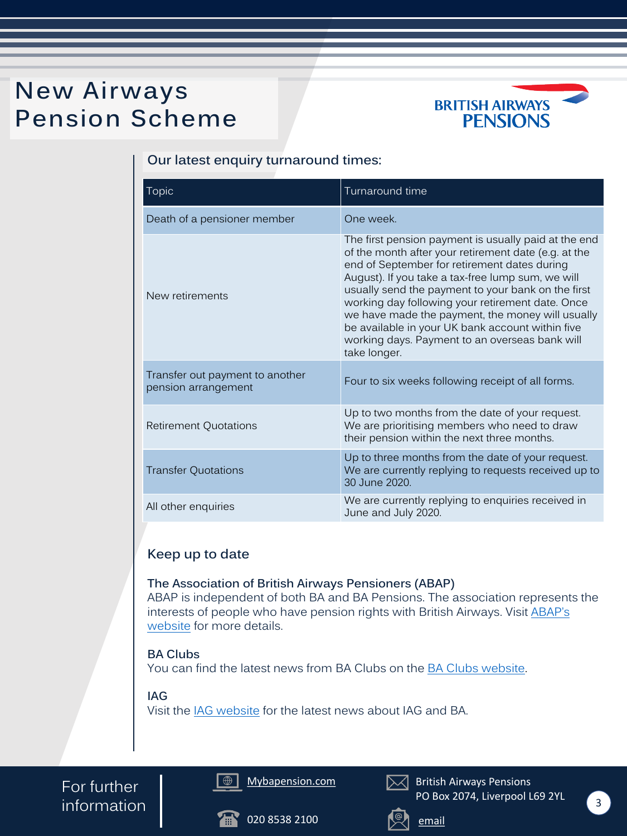





For further  $information \f{3}$ 

British Airways Pensions PO Box 2074, Liverpool L69 2YL





# <span id="page-2-0"></span>**New Airways Pension Scheme**



#### **Our latest enquiry turnaround times:**

#### **Keep up to date**

**The Association of British Airways Pensioners (ABAP)** ABAP is independent of both BA and BA Pensions. The association represents the interests of people who have pension rights with British Airways. Visit ABAP's website for more details.

#### **BA Clubs**

You can find the latest news from BA Clubs on the [BA Clubs website.](http://www.baclubs.com/)

#### **IAG**

Visit the [IAG website](https://www.iairgroup.com/en/newsroom) for the latest news about IAG and BA.

| Topic                                                  | Turnaround time                                                                                                                                                                                                                                                                                                                                                                                                                                                                                       |
|--------------------------------------------------------|-------------------------------------------------------------------------------------------------------------------------------------------------------------------------------------------------------------------------------------------------------------------------------------------------------------------------------------------------------------------------------------------------------------------------------------------------------------------------------------------------------|
| Death of a pensioner member                            | One week.                                                                                                                                                                                                                                                                                                                                                                                                                                                                                             |
| New retirements                                        | The first pension payment is usually paid at the end<br>of the month after your retirement date (e.g. at the<br>end of September for retirement dates during<br>August). If you take a tax-free lump sum, we will<br>usually send the payment to your bank on the first<br>working day following your retirement date. Once<br>we have made the payment, the money will usually<br>be available in your UK bank account within five<br>working days. Payment to an overseas bank will<br>take longer. |
| Transfer out payment to another<br>pension arrangement | Four to six weeks following receipt of all forms.                                                                                                                                                                                                                                                                                                                                                                                                                                                     |
| <b>Retirement Quotations</b>                           | Up to two months from the date of your request.<br>We are prioritising members who need to draw<br>their pension within the next three months.                                                                                                                                                                                                                                                                                                                                                        |
| Transfer Quotations                                    | Up to three months from the date of your request.<br>We are currently replying to requests received up to<br>30 June 2020.                                                                                                                                                                                                                                                                                                                                                                            |
| All other enquiries                                    | We are currently replying to enquiries received in<br>June and July 2020.                                                                                                                                                                                                                                                                                                                                                                                                                             |